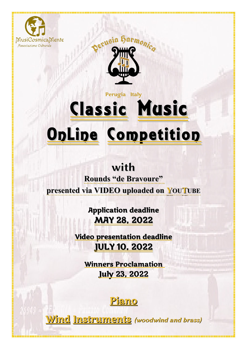



# Classic Music OnLine Competition Perugia Italy

# with

**Rounds "de Bravoure" presented via VIDEO uploaded on YOUTUBE** 

> Application deadline MAY 28, 2022

Video presentation deadline JULY 10, 2022

 Winners Proclamation July 23, 2022



Wind Instruments (woodwind and brass)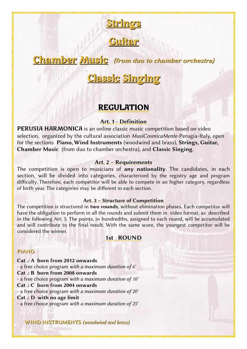

**Guitar** 

### Chamber Music (from duo to chamber orchestra)

## Classic Singing

#### REGULATION

#### Art. 1 - Definition

PERUSIA HARMONICA is an online classic music competition based on video selection, organized by the cultural association MusiCosmicaMente-Perugia-Italy, open for the sections Piano, Wind Instruments (woodwind and brass), Strings, Guitar, Chamber Music (from duo to chamber orchestra), and Classic Singing.

#### Art. 2 – Requirements

The competition is open to musicians of any nationality. The candidates, in each section, will be divided into categories, characterized by the registry age and program difficulty. Therefore, each competitor will be able to compete in an higher category, regardless of birth year. The categories may be different in each section.

#### Art. 3 – Structure of Competition

The competition is structured in two rounds, without elimination phases. Each competitor will have the obligation to perform in all the rounds and submit them in video format, as described in the following Art. 5. The points, in hundredths, assigned to each round, will be accumulated and will contribute to the final result. With the same score, the youngest competitor will be considered the winner.

#### 1st ROUND

#### PIANO

Cat .: A born from 2012 onwards - a free choice program with a maximum duration of 6' Cat .: B born from 2008 onwards - a free choice program with a maximum duration of 10' Cat .: C born from 2004 onwards - a free choice program with a maximum duration of 20' Cat .: D with no age limit - a free choice program with a maximum duration of 25'

WIND INSTRUMENTS (woodwind and brass)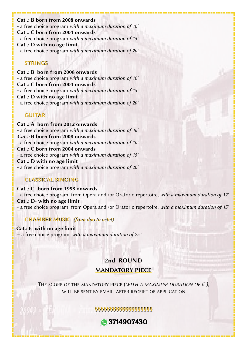Cat .: B born from 2008 onwards - a free choice program with a maximum duration of 10' Cat .: C born from 2004 onwards - a free choice program with a maximum duration of 15' Cat .: D with no age limit - a free choice program with a maximum duration of 20'

#### STRINGS

Cat .: B born from 2008 onwards - a free choice program with a maximum duration of 10' Cat .: C born from 2004 onwards - a free choice program with a maximum duration of 15' Cat .: D with no age limit - a free choice program with a maximum duration of 20'

#### GUITAR

Cat .: A born from 2012 onwards - a free choice program with a maximum duration of 46' Cat .: B born from 2008 onwards - a free choice program with a maximum duration of 10' Cat .: C born from 2004 onwards - a free choice program with a maximum duration of 15' Cat .: D with no age limit - a free choice program with a maximum duration of 20'

#### CLASSICAL SINGING

Cat .: C- born from 1998 onwards - a free choice program from Opera and /or Oratorio repertoire, with a maximum duration of 12' Cat .: D- with no age limit - a free choice program from Opera and /or Oratorio repertoire, with a maximum duration of 15'

#### CHAMBER MUSIC (from duo to octet)

 Cat.: E with no age limit – a free choice program, with a maximum duration of 25 '

# 2nd ROUND

#### MANDATORY PIECE

THE SCORE OF THE MANDATORY PIECE (WITH A MAXIMUM DURATION OF 6<sup>'</sup>), WILL BE SENT BY EMAIL, AFTER RECEIPT OF APPLICATION.

§§§§§§§§§§§§§§§§§§§

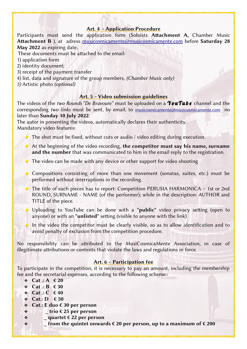#### Art. 4 – Application Procedure

Participants must send the application form (Soloists Attachment A, Chamber Music Attachment B ), at adress musicosmicamente@musicosmicamente.com before Saturday 28 May 2022 as expiring date.

These documents must be attached to the email:

1) application form

2) identity document;

3) receipt of the payment transfer

4) list, data and signature of the group members, (Chamber Music only)

5) Artistic photo (optional)

#### Art. 5 – Video submission guidelines

The videos of the two Rounds "De Bravoure" must be uploaded on a **You Tube** channel and the corresponding two links must be sent, by email, to musicosmicamente@musicosmicamente.com no later than Sunday 10 July 2022.

The autor in presenting the videos, automatically declares their authenticity. Mandatory video features:

- $\blacktriangleright$  The shot must be fixed, without cuts or audio / video editing during execution.
- At the beginning of the video recording, the competitor must say his name, surname and the number that was communicated to him in the email reply to the registration.

 $\blacktriangleright$  The video can be made with any device or other support for video shooting

- Compositions consisting of more than one movement (sonatas, suites, etc.) must be performed without interruptions in the recording.
- ◆ The title of each pieces has to report: Competition PERUSIA HARMONICA 1st or 2nd ROUND, SURNAME - NAME (of the performer); while in the description: AUTHOR and TITLE of the piece.
- Uploading to YouTube can be done with a "public" video privacy setting (open to anyone) or with an "unlisted" setting (visible to anyone with the link)
- In the video the competitor must be clearly visible, so as to allow identification and to avoid penalty of exclusion from the competition procedure.

No responsibility can be attributed to the MusiCosmicaMente Association, in case of illegitimate attributions or contents that violate the laws and regulations in force.

#### Art. 6 – Participation fee

To participate in the competition, it is necessary to pay an amount, including the membership fee and the secretarial expenses, according to the following scheme::

- $\div$  Cat : A  $\in$  20
- $\div$  Cat .: B  $\in$  30
- $\div$  Cat .: C  $\in$  40
- $\div$  Cat.: D  $\in$  50
- Cat.: E duo € 30 per person
- $\frac{1}{2}$  trio  $\epsilon$  25 per person
- $\div$  \_ quartet  $\epsilon$  22 per person
- $\bullet$  |  $\blacksquare$  from the quintet onwards  $\epsilon$  20 per person, up to a maximum of  $\epsilon$  200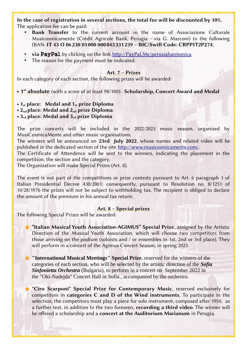In the case of registration in several sections, the total fee will be discounted by 10%. The application fee can be paid:

- Bank Transfer to the current account in the name of Associazione Culturale Musicosmicamente (Crédit Agricole Bank, Perugia - via G. Marconi) to the following IBAN: IT 43 O 06230 03000 000043331239 – BIC/Swift Code: CRPPIT2P274;
- via PayPal by clicking on the link <http://PayPal.Me/perusiaharmonica>.
- The reason for the payment must be indicated.

#### Art. 7 – Prizes

In each category of each section, the following prizes will be awarded:

• 1<sup>st</sup> absolute (with a score of at least 98/100): Scholarship, Concert Award and Medal

•  $1_{st}$  place: Medal and  $1_{st}$  prize Diploma

•  $2_{nd}$  place: Medal and  $2_{nd}$  prize Diploma

 $\cdot$  3<sub>rd</sub> place: Medal and 3<sub>rd</sub> prize Diploma

The prize concerts will be included in the 2022/2023 music season, organized by MusiCosmicaMente and other music organisations.

The winners will be announced on 23rd July 2022, whose names and related video will be published in the dedicated section of the site <http://www.musicosmicamente.com/>.

The Certificate of Attendence will be sent to the winners, indicating the placement in the competition, the section and the category.

The Organization will make Special Prizes (Art. 8).

The event is not part of the competitions or prize contests pursuant to Art. 6 paragraph 1 of Italian Presidential Decree 430/2001; consequently, pursuant to Resolution no. 8/1251 of 10/28/1976 the prizes will not be subject to withholding tax. The recipient is obliged to declare the amount of the premium in his annual tax return.

#### Art. 8 – Special prizes

The following Special Prizes will be awarded:

"Italian Musical Youth Association-AGIMUS" Special Prize, assigned by the Artistic Direction of the Musical Youth Association, which will choose two competitors from those arriving on the podium (soloists and / or ensembles in 1st, 2nd or 3rd place). They will perform in a concert of the Agimus Concert Season, in spring 2023.

**"International Musical Meetings" Special Prize**, reserved for the winners of the categories of each section, who will be selected by the artistic direction of the *Sofia Sinfonietta Orchestra* (Bulgaria), to perform in a concert on September 2022 in the "Oki-Nadejda" Concert Hall in Sofia , accompanied by the orchestra.

"Ciro Scarponi" Special Prize for Contemporary Music, reserved exclusively for competitors in categories C and D of the Wind instruments. To participate in the selection, the competitors must play a piece for solo instrument, composed after 1950, as a further test, in addition to the two foreseen, recording a third video. The winner will be offered a scholarship and a concert at the Auditorium Marianum in Perugia.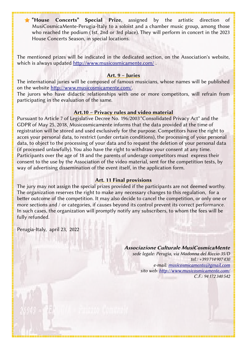**T** House Concerts" Special Prize, assigned by the artistic direction of MusiCosmicaMente-Perugia-Italy to a soloist and a chamber music group, among those who reached the podium (1st, 2nd or 3rd place). They will perform in concert in the 2023 House Concerts Season, in special locations.

The mentioned prizes will be indicated in the dedicated section, on the Association's website, which is always updated http://www.musicosmicamente.com/.

#### Art. 9 – Juries

The international juries will be composed of famous musicians, whose names will be published on the website [http://www.musicosmicamente.com/.](http://www.musicosmicamente.com/)

The jurors who have didactic relationships with one or more competitors, will refrain from participating in the evaluation of the same.

#### Art.10 – Privacy rules and video material

Pursuant to Article 7 of Legislative Decree No. 196/2003 "Consolidated Privacy Act" and the GDPR of May 25, 2018, Musicosmicamente informs that the data provided at the time of registration will be stored and used exclusively for the purpose. Competitors have the right to acces your personal data, to restrict (under certain conditions), the processing of your personal data, to object to the processing of your data and to request the deletion of your personal data (if processed unlawfully). You also have the right to withdraw your consent at any time. Participants over the age of 18 and the parents of underage competitors must express their consent to the use by the Association of the video material, sent for the competition tests, by way of advertising dissemination of the event itself, in the application form.

#### Art. 11 Final provisions

The jury may not assign the special prizes provided if the participants are not deemed worthy. The organization reserves the right to make any necessary changes to this regulation, for a better outcome of the competition. It may also decide to cancel the competition, or only one or more sections and / or categories, if causes beyond its control prevent its correct performance. In such cases, the organization will promptly notify any subscribers, to whom the fees will be fully refunded.

Perugia-Italy, april 23, 2022

Associazione Culturale MusiCosmicaMente sede legale: Perugia, via Madonna del Riccio 35/D tel.: +393714907430 e-mail: [musicosmicamente@gmail.com](mailto:musicosmicamente@gmail.com) sito web:<http://www.musicosmicamente.com/> C.F.: 94172340542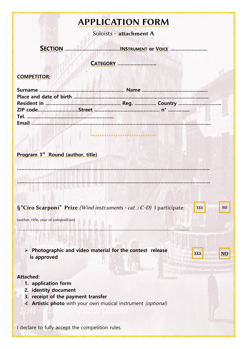### APPLICATION FORM

Soloists - attachment A

 **SECTION …………………………..……INS TRUMENT or VOICE ……….……….…...**

 **CATEGORY ……….……………..**

#### **COMPETITOR:**

**……………………………………………………………………………………………………….…………..**

**……………………………………………………………………………………………………………………**

**\*\*\*\*\*\*\*\*\*\*\*\*\*\*\*\*\*\*\*\*\*\*\*\*\*\*\*\*\***

**YES**

**YES NO** 

**NO**

#### **Program** 1 st  **Round (author, title)**

|  |  | S"Ciro Scarponi" Prize (Wind instr.uments - cat .: C-D) I participate: |  |  |
|--|--|------------------------------------------------------------------------|--|--|
|--|--|------------------------------------------------------------------------|--|--|

**…………………………………………………………………………………………………………………………………………………………..**

(author, title, year of composition)

➢ **Photographic and video material for the contest release is approved** 

**Attached:**

- **1. application form**
- **2. identity document**
- **3. receipt of the payment transfer**
- 4. **Artistic photo** with your own musical instrument (optional)

I declare to fully accept the competition rules.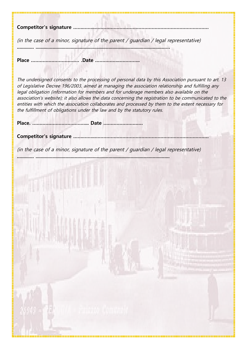**Competitor's signature …….……..……………………………………………………………………**

(in the case of a minor, signature of the parent / guardian / legal representative)

**Place …………………………… .Date ……………..…………..**

The undersigned consents to the processing of personal data by this Association pursuant to art. 13 of Legislative Decree 196/2003, aimed at managing the association relationship and fulfilling any legal obligation (information for members and for underage members also available on the association's website); it also allows the data concerning the registration to be communicated to the entities with which the association collaborates and processed by them to the extent necessary for the fulfillment of obligations under the law and by the statutory rules.

**............. ....................................................................................................…**

**Place. ………………………………... Date ………………………**

**Competitor's signature …….……..……………………………………………………………………**

(in the case of a minor, signature of the parent / guardian / legal representative) **............. .......................................................................................................**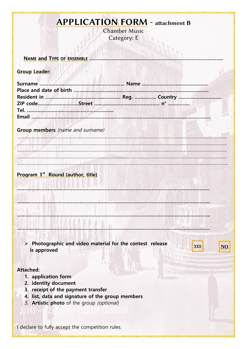### **APPLICATION FORM** - attachment B

Chamber Music Category: E

| <b>Group Leader:</b> |                                                                                                                                     |  |                                      |
|----------------------|-------------------------------------------------------------------------------------------------------------------------------------|--|--------------------------------------|
|                      |                                                                                                                                     |  |                                      |
|                      | <b>Group members</b> (name and surname)                                                                                             |  |                                      |
|                      |                                                                                                                                     |  |                                      |
|                      | Program 1 <sup>st</sup> Round (author, title)                                                                                       |  |                                      |
|                      |                                                                                                                                     |  |                                      |
|                      | Photographic and video material for the contest release                                                                             |  |                                      |
| is approved          |                                                                                                                                     |  | <b>YES</b><br>$\overline{\text{NO}}$ |
| <b>Attached:</b>     | 1. application form<br>2. identity document                                                                                         |  |                                      |
|                      | 3. receipt of the payment transfer<br>4. list, data and signature of the group members<br>5. Artistic photo of the group (optional) |  |                                      |
|                      | I declare to fully accept the competition rules.                                                                                    |  |                                      |

T and